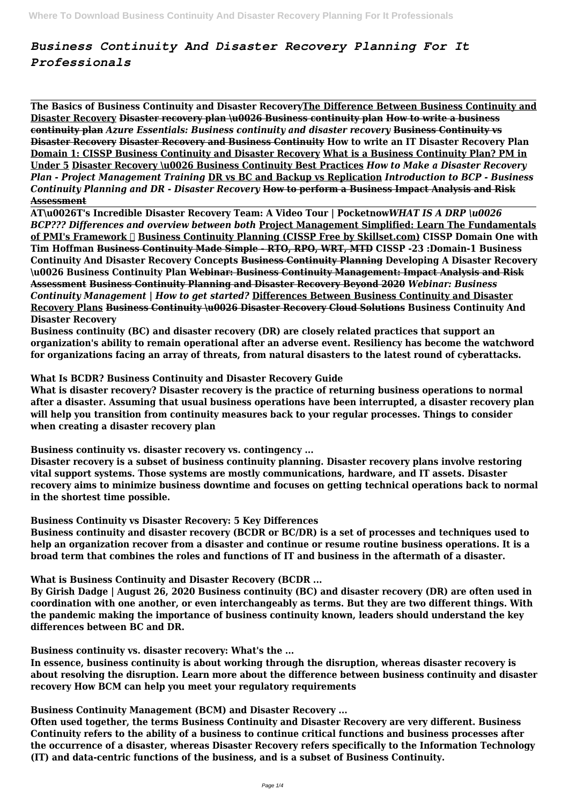# *Business Continuity And Disaster Recovery Planning For It Professionals*

**The Basics of Business Continuity and Disaster RecoveryThe Difference Between Business Continuity and Disaster Recovery Disaster recovery plan \u0026 Business continuity plan How to write a business continuity plan** *Azure Essentials: Business continuity and disaster recovery* **Business Continuity vs Disaster Recovery Disaster Recovery and Business Continuity How to write an IT Disaster Recovery Plan Domain 1: CISSP Business Continuity and Disaster Recovery What is a Business Continuity Plan? PM in Under 5 Disaster Recovery \u0026 Business Continuity Best Practices** *How to Make a Disaster Recovery Plan - Project Management Training* **DR vs BC and Backup vs Replication** *Introduction to BCP - Business Continuity Planning and DR - Disaster Recovery* **How to perform a Business Impact Analysis and Risk Assessment**

**AT\u0026T's Incredible Disaster Recovery Team: A Video Tour | Pocketnow***WHAT IS A DRP \u0026 BCP??? Differences and overview between both* **Project Management Simplified: Learn The Fundamentals of PMI's Framework ✓ Business Continuity Planning (CISSP Free by Skillset.com) CISSP Domain One with Tim Hoffman Business Continuity Made Simple - RTO, RPO, WRT, MTD CISSP -23 :Domain-1 Business Continuity And Disaster Recovery Concepts Business Continuity Planning Developing A Disaster Recovery \u0026 Business Continuity Plan Webinar: Business Continuity Management: Impact Analysis and Risk Assessment Business Continuity Planning and Disaster Recovery Beyond 2020** *Webinar: Business Continuity Management | How to get started?* **Differences Between Business Continuity and Disaster Recovery Plans Business Continuity \u0026 Disaster Recovery Cloud Solutions Business Continuity And Disaster Recovery**

**Business continuity (BC) and disaster recovery (DR) are closely related practices that support an organization's ability to remain operational after an adverse event. Resiliency has become the watchword for organizations facing an array of threats, from natural disasters to the latest round of cyberattacks.**

**What Is BCDR? Business Continuity and Disaster Recovery Guide**

**What is disaster recovery? Disaster recovery is the practice of returning business operations to normal after a disaster. Assuming that usual business operations have been interrupted, a disaster recovery plan will help you transition from continuity measures back to your regular processes. Things to consider when creating a disaster recovery plan**

**Business continuity vs. disaster recovery vs. contingency ...**

**Disaster recovery is a subset of business continuity planning. Disaster recovery plans involve restoring vital support systems. Those systems are mostly communications, hardware, and IT assets. Disaster recovery aims to minimize business downtime and focuses on getting technical operations back to normal in the shortest time possible.**

**Business Continuity vs Disaster Recovery: 5 Key Differences**

**Business continuity and disaster recovery (BCDR or BC/DR) is a set of processes and techniques used to help an organization recover from a disaster and continue or resume routine business operations. It is a broad term that combines the roles and functions of IT and business in the aftermath of a disaster.**

**What is Business Continuity and Disaster Recovery (BCDR ...**

**By Girish Dadge | August 26, 2020 Business continuity (BC) and disaster recovery (DR) are often used in coordination with one another, or even interchangeably as terms. But they are two different things. With the pandemic making the importance of business continuity known, leaders should understand the key differences between BC and DR.**

**Business continuity vs. disaster recovery: What's the ...**

**In essence, business continuity is about working through the disruption, whereas disaster recovery is about resolving the disruption. Learn more about the difference between business continuity and disaster recovery How BCM can help you meet your regulatory requirements**

**Business Continuity Management (BCM) and Disaster Recovery ...**

**Often used together, the terms Business Continuity and Disaster Recovery are very different. Business Continuity refers to the ability of a business to continue critical functions and business processes after the occurrence of a disaster, whereas Disaster Recovery refers specifically to the Information Technology (IT) and data-centric functions of the business, and is a subset of Business Continuity.**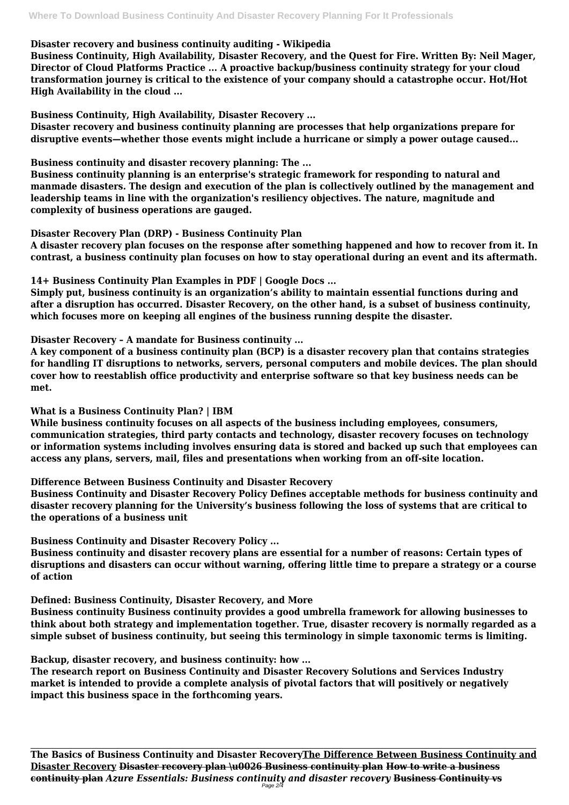#### **Disaster recovery and business continuity auditing - Wikipedia**

**Business Continuity, High Availability, Disaster Recovery, and the Quest for Fire. Written By: Neil Mager, Director of Cloud Platforms Practice ... A proactive backup/business continuity strategy for your cloud transformation journey is critical to the existence of your company should a catastrophe occur. Hot/Hot High Availability in the cloud ...**

**Business Continuity, High Availability, Disaster Recovery ...**

**Disaster recovery and business continuity planning are processes that help organizations prepare for disruptive events—whether those events might include a hurricane or simply a power outage caused...**

**Business continuity and disaster recovery planning: The ...**

**Business continuity planning is an enterprise's strategic framework for responding to natural and manmade disasters. The design and execution of the plan is collectively outlined by the management and leadership teams in line with the organization's resiliency objectives. The nature, magnitude and complexity of business operations are gauged.**

### **Disaster Recovery Plan (DRP) - Business Continuity Plan**

**A disaster recovery plan focuses on the response after something happened and how to recover from it. In contrast, a business continuity plan focuses on how to stay operational during an event and its aftermath.**

**14+ Business Continuity Plan Examples in PDF | Google Docs ...**

**Simply put, business continuity is an organization's ability to maintain essential functions during and after a disruption has occurred. Disaster Recovery, on the other hand, is a subset of business continuity, which focuses more on keeping all engines of the business running despite the disaster.**

**Disaster Recovery – A mandate for Business continuity ...**

**The Basics of Business Continuity and Disaster RecoveryThe Difference Between Business Continuity and Disaster Recovery Disaster recovery plan \u0026 Business continuity plan How to write a business continuity plan** *Azure Essentials: Business continuity and disaster recovery* **Business Continuity vs**  $Page 2$ 

**A key component of a business continuity plan (BCP) is a disaster recovery plan that contains strategies for handling IT disruptions to networks, servers, personal computers and mobile devices. The plan should cover how to reestablish office productivity and enterprise software so that key business needs can be met.**

## **What is a Business Continuity Plan? | IBM**

**While business continuity focuses on all aspects of the business including employees, consumers, communication strategies, third party contacts and technology, disaster recovery focuses on technology or information systems including involves ensuring data is stored and backed up such that employees can access any plans, servers, mail, files and presentations when working from an off-site location.**

**Difference Between Business Continuity and Disaster Recovery**

**Business Continuity and Disaster Recovery Policy Defines acceptable methods for business continuity and disaster recovery planning for the University's business following the loss of systems that are critical to the operations of a business unit**

**Business Continuity and Disaster Recovery Policy ...**

**Business continuity and disaster recovery plans are essential for a number of reasons: Certain types of disruptions and disasters can occur without warning, offering little time to prepare a strategy or a course of action**

**Defined: Business Continuity, Disaster Recovery, and More**

**Business continuity Business continuity provides a good umbrella framework for allowing businesses to think about both strategy and implementation together. True, disaster recovery is normally regarded as a simple subset of business continuity, but seeing this terminology in simple taxonomic terms is limiting.**

**Backup, disaster recovery, and business continuity: how ...**

**The research report on Business Continuity and Disaster Recovery Solutions and Services Industry market is intended to provide a complete analysis of pivotal factors that will positively or negatively impact this business space in the forthcoming years.**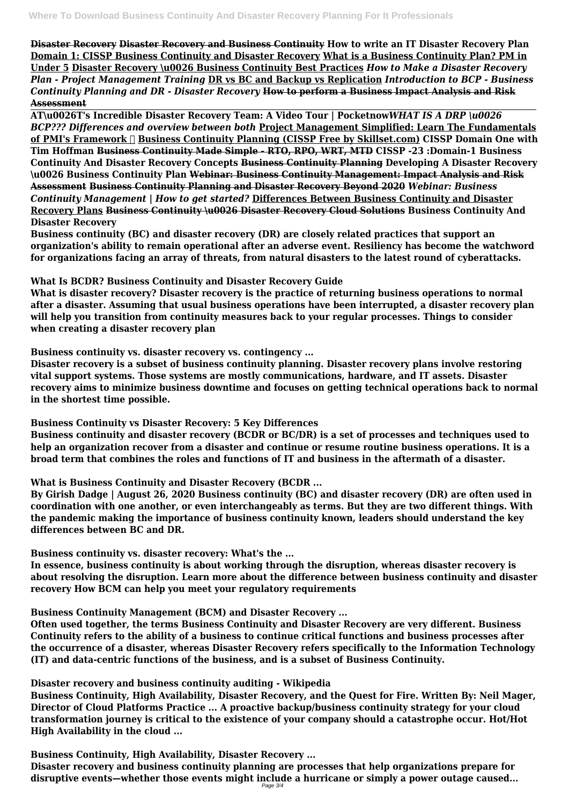**Disaster Recovery Disaster Recovery and Business Continuity How to write an IT Disaster Recovery Plan Domain 1: CISSP Business Continuity and Disaster Recovery What is a Business Continuity Plan? PM in Under 5 Disaster Recovery \u0026 Business Continuity Best Practices** *How to Make a Disaster Recovery Plan - Project Management Training* **DR vs BC and Backup vs Replication** *Introduction to BCP - Business Continuity Planning and DR - Disaster Recovery* **How to perform a Business Impact Analysis and Risk Assessment**

**AT\u0026T's Incredible Disaster Recovery Team: A Video Tour | Pocketnow***WHAT IS A DRP \u0026 BCP??? Differences and overview between both* **Project Management Simplified: Learn The Fundamentals of PMI's Framework ✓ Business Continuity Planning (CISSP Free by Skillset.com) CISSP Domain One with Tim Hoffman Business Continuity Made Simple - RTO, RPO, WRT, MTD CISSP -23 :Domain-1 Business Continuity And Disaster Recovery Concepts Business Continuity Planning Developing A Disaster Recovery \u0026 Business Continuity Plan Webinar: Business Continuity Management: Impact Analysis and Risk Assessment Business Continuity Planning and Disaster Recovery Beyond 2020** *Webinar: Business Continuity Management | How to get started?* **Differences Between Business Continuity and Disaster Recovery Plans Business Continuity \u0026 Disaster Recovery Cloud Solutions Business Continuity And Disaster Recovery**

**Business continuity (BC) and disaster recovery (DR) are closely related practices that support an organization's ability to remain operational after an adverse event. Resiliency has become the watchword for organizations facing an array of threats, from natural disasters to the latest round of cyberattacks.**

**What Is BCDR? Business Continuity and Disaster Recovery Guide**

**What is disaster recovery? Disaster recovery is the practice of returning business operations to normal after a disaster. Assuming that usual business operations have been interrupted, a disaster recovery plan will help you transition from continuity measures back to your regular processes. Things to consider when creating a disaster recovery plan**

**Business continuity vs. disaster recovery vs. contingency ...**

**Disaster recovery is a subset of business continuity planning. Disaster recovery plans involve restoring vital support systems. Those systems are mostly communications, hardware, and IT assets. Disaster recovery aims to minimize business downtime and focuses on getting technical operations back to normal in the shortest time possible.**

**Business Continuity vs Disaster Recovery: 5 Key Differences**

**Business continuity and disaster recovery (BCDR or BC/DR) is a set of processes and techniques used to help an organization recover from a disaster and continue or resume routine business operations. It is a broad term that combines the roles and functions of IT and business in the aftermath of a disaster.**

**What is Business Continuity and Disaster Recovery (BCDR ...**

**By Girish Dadge | August 26, 2020 Business continuity (BC) and disaster recovery (DR) are often used in coordination with one another, or even interchangeably as terms. But they are two different things. With the pandemic making the importance of business continuity known, leaders should understand the key differences between BC and DR.**

**Business continuity vs. disaster recovery: What's the ...**

**In essence, business continuity is about working through the disruption, whereas disaster recovery is about resolving the disruption. Learn more about the difference between business continuity and disaster recovery How BCM can help you meet your regulatory requirements**

**Business Continuity Management (BCM) and Disaster Recovery ...**

**Often used together, the terms Business Continuity and Disaster Recovery are very different. Business Continuity refers to the ability of a business to continue critical functions and business processes after the occurrence of a disaster, whereas Disaster Recovery refers specifically to the Information Technology (IT) and data-centric functions of the business, and is a subset of Business Continuity.**

**Disaster recovery and business continuity auditing - Wikipedia Business Continuity, High Availability, Disaster Recovery, and the Quest for Fire. Written By: Neil Mager, Director of Cloud Platforms Practice ... A proactive backup/business continuity strategy for your cloud transformation journey is critical to the existence of your company should a catastrophe occur. Hot/Hot High Availability in the cloud ...**

**Business Continuity, High Availability, Disaster Recovery ... Disaster recovery and business continuity planning are processes that help organizations prepare for disruptive events—whether those events might include a hurricane or simply a power outage caused...** Page 3/4